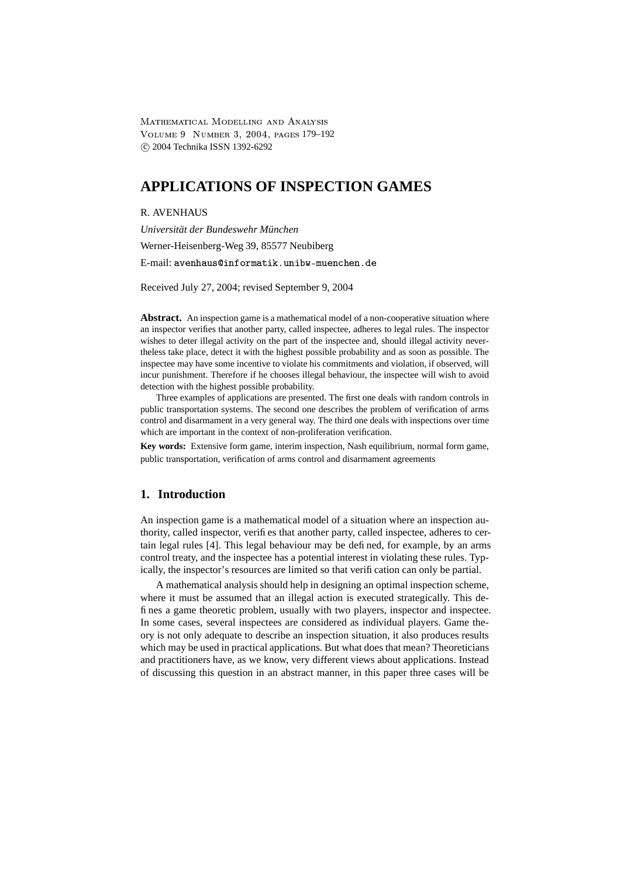-  
 VOLUME 9 NUMBER 3, 2004, PAGES 179-192 c 2004 Technika ISSN 1392-6292

# **APPLICATIONS OF INSPECTION GAMES**

#### R. AVENHAUS

*Universität der Bundeswehr München* Werner-Heisenberg-Weg 39, 85577 Neubiberg E-mail: avenhaus@informatik.unibw-muenchen.de

Received July 27, 2004; revised September 9, 2004

**Abstract.** An inspection game is a mathematical model of a non-cooperative situation where an inspector verifies that another party, called inspectee, adheres to legal rules. The inspector wishes to deter illegal activity on the part of the inspectee and, should illegal activity nevertheless take place, detect it with the highest possible probability and as soon as possible. The inspectee may have some incentive to violate his commitments and violation, if observed, will incur punishment. Therefore if he chooses illegal behaviour, the inspectee will wish to avoid detection with the highest possible probability.

Three examples of applications are presented. The first one deals with random controls in public transportation systems. The second one describes the problem of verification of arms control and disarmament in a very general way. The third one deals with inspections over time which are important in the context of non-proliferation verification.

**Key words:** Extensive form game, interim inspection, Nash equilibrium, normal form game, public transportation, verification of arms control and disarmament agreements

## **1. Introduction**

An inspection game is a mathematical model of a situation where an inspection authority, called inspector, verifies that another party, called inspectee, adheres to certain legal rules [4]. This legal behaviour may be defined, for example, by an arms control treaty, and the inspectee has a potential interest in violating these rules. Typically, the inspector's resources are limited so that verification can only be partial.

A mathematical analysis should help in designing an optimal inspection scheme, where it must be assumed that an illegal action is executed strategically. This defines a game theoretic problem, usually with two players, inspector and inspectee. In some cases, several inspectees are considered as individual players. Game theory is not only adequate to describe an inspection situation, it also produces results which may be used in practical applications. But what does that mean? Theoreticians and practitioners have, as we know, very different views about applications. Instead of discussing this question in an abstract manner, in this paper three cases will be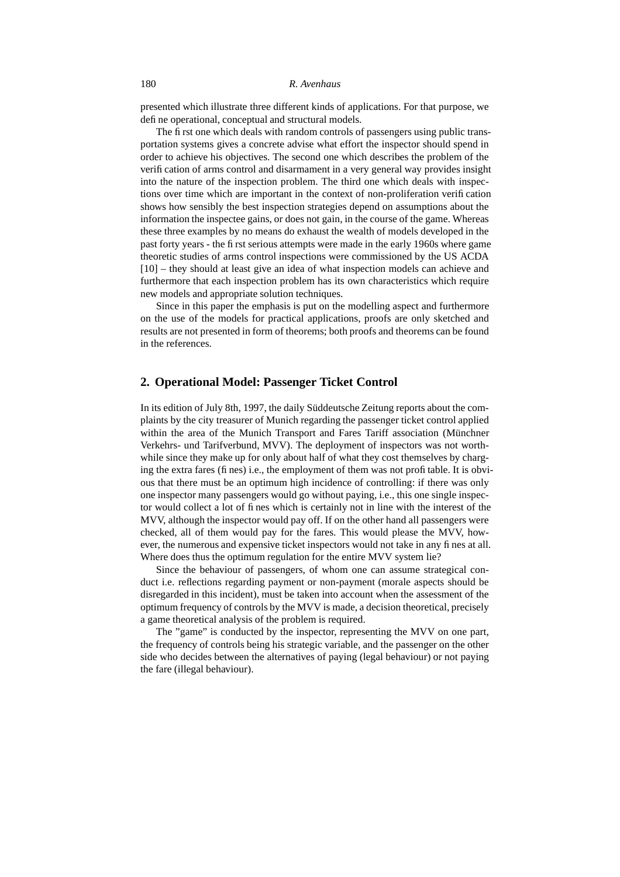presented which illustrate three different kinds of applications. For that purpose, we define operational, conceptual and structural models.

The first one which deals with random controls of passengers using public transportation systems gives a concrete advise what effort the inspector should spend in order to achieve his objectives. The second one which describes the problem of the verification of arms control and disarmament in a very general way provides insight into the nature of the inspection problem. The third one which deals with inspections over time which are important in the context of non-proliferation verification shows how sensibly the best inspection strategies depend on assumptions about the information the inspectee gains, or does not gain, in the course of the game. Whereas these three examples by no means do exhaust the wealth of models developed in the past forty years - the first serious attempts were made in the early 1960s where game theoretic studies of arms control inspections were commissioned by the US ACDA [10] – they should at least give an idea of what inspection models can achieve and furthermore that each inspection problem has its own characteristics which require new models and appropriate solution techniques.

Since in this paper the emphasis is put on the modelling aspect and furthermore on the use of the models for practical applications, proofs are only sketched and results are not presented in form of theorems; both proofs and theorems can be found in the references.

# **2. Operational Model: Passenger Ticket Control**

In its edition of July 8th, 1997, the daily Süddeutsche Zeitung reports about the complaints by the city treasurer of Munich regarding the passenger ticket control applied within the area of the Munich Transport and Fares Tariff association (Münchner Verkehrs- und Tarifverbund, MVV). The deployment of inspectors was not worthwhile since they make up for only about half of what they cost themselves by charging the extra fares (fines) i.e., the employment of them was not profitable. It is obvious that there must be an optimum high incidence of controlling: if there was only one inspector many passengers would go without paying, i.e., this one single inspector would collect a lot of fines which is certainly not in line with the interest of the MVV, although the inspector would pay off. If on the other hand all passengers were checked, all of them would pay for the fares. This would please the MVV, however, the numerous and expensive ticket inspectors would not take in any fines at all. Where does thus the optimum regulation for the entire MVV system lie?

Since the behaviour of passengers, of whom one can assume strategical conduct i.e. reflections regarding payment or non-payment (morale aspects should be disregarded in this incident), must be taken into account when the assessment of the optimum frequency of controls by the MVV is made, a decision theoretical, precisely a game theoretical analysis of the problem is required.

The "game" is conducted by the inspector, representing the MVV on one part, the frequency of controls being his strategic variable, and the passenger on the other side who decides between the alternatives of paying (legal behaviour) or not paying the fare (illegal behaviour).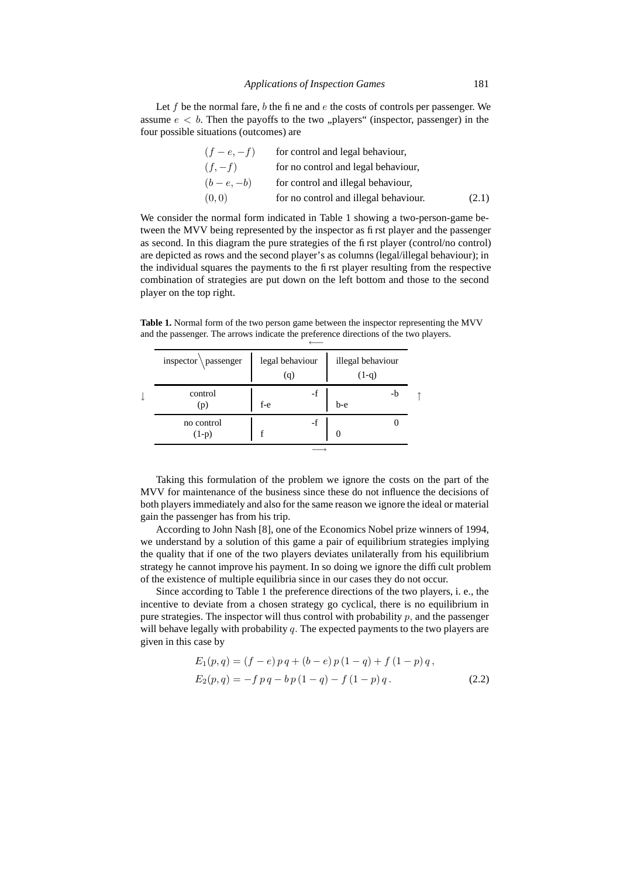Let  $f$  be the normal fare,  $b$  the fine and  $e$  the costs of controls per passenger. We assume  $e < b$ . Then the payoffs to the two "players" (inspector, passenger) in the four possible situations (outcomes) are

| $(f - e, -f)$ | for control and legal behaviour,      |       |
|---------------|---------------------------------------|-------|
| $(f, -f)$     | for no control and legal behaviour,   |       |
| $(b-e,-b)$    | for control and illegal behaviour,    |       |
| (0,0)         | for no control and illegal behaviour. | (2.1) |

We consider the normal form indicated in Table 1 showing a two-person-game between the MVV being represented by the inspector as first player and the passenger as second. In this diagram the pure strategies of the first player (control/no control) are depicted as rows and the second player's as columns (legal/illegal behaviour); in the individual squares the payments to the first player resulting from the respective combination of strategies are put down on the left bottom and those to the second player on the top right.

**Table 1.** Normal form of the two person game between the inspector representing the MVV and the passenger. The arrows indicate the preference directions of the two players. ←−

|   | $inspector \ passenger$ |       | legal behaviour<br>(q) | illegal behaviour<br>$(1-q)$ |    |  |
|---|-------------------------|-------|------------------------|------------------------------|----|--|
| ↓ | control<br>(p)          | $f-e$ | -f                     | b-e                          | -b |  |
|   | no control<br>$(1-p)$   | f     | -f                     |                              |    |  |
|   |                         |       |                        |                              |    |  |

Taking this formulation of the problem we ignore the costs on the part of the MVV for maintenance of the business since these do not influence the decisions of both players immediately and also for the same reason we ignore the ideal or material gain the passenger has from his trip.

According to John Nash [8], one of the Economics Nobel prize winners of 1994, we understand by a solution of this game a pair of equilibrium strategies implying the quality that if one of the two players deviates unilaterally from his equilibrium strategy he cannot improve his payment. In so doing we ignore the difficult problem of the existence of multiple equilibria since in our cases they do not occur.

Since according to Table 1 the preference directions of the two players, i. e., the incentive to deviate from a chosen strategy go cyclical, there is no equilibrium in pure strategies. The inspector will thus control with probability  $p$ , and the passenger will behave legally with probability  $q$ . The expected payments to the two players are given in this case by

$$
E_1(p,q) = (f - e) p q + (b - e) p (1 - q) + f (1 - p) q,
$$
  
\n
$$
E_2(p,q) = -f p q - b p (1 - q) - f (1 - p) q.
$$
\n(2.2)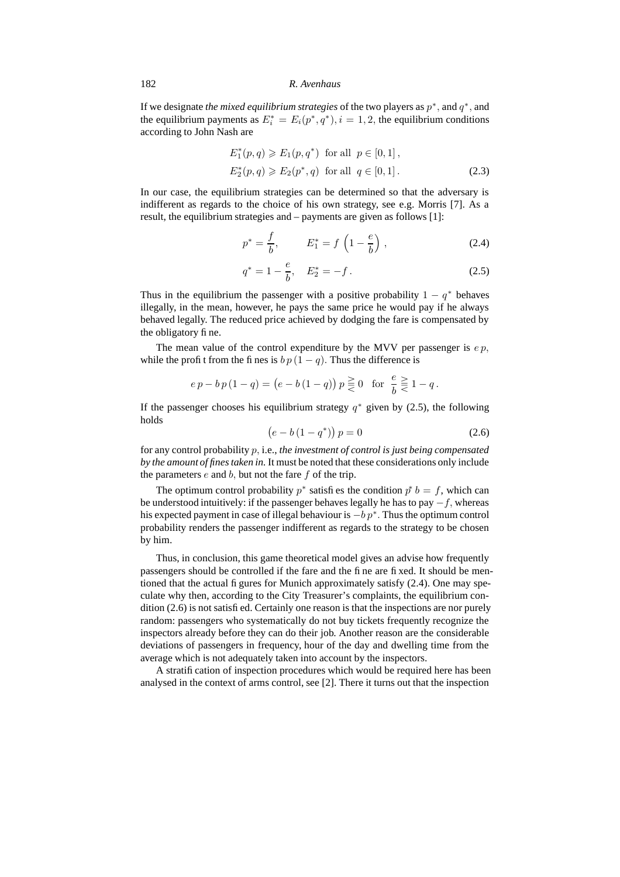If we designate *the mixed equilibrium strategies* of the two players as  $p^*$ , and  $q^*$ , and the equilibrium payments as  $E_i^* = E_i(p^*, q^*), i = 1, 2$ , the equilibrium conditions according to John Nash are

$$
E_1^*(p,q) \ge E_1(p,q^*) \text{ for all } p \in [0,1],
$$
  
\n
$$
E_2^*(p,q) \ge E_2(p^*,q) \text{ for all } q \in [0,1].
$$
\n(2.3)

In our case, the equilibrium strategies can be determined so that the adversary is indifferent as regards to the choice of his own strategy, see e.g. Morris [7]. As a result, the equilibrium strategies and – payments are given as follows [1]:

$$
p^* = \frac{f}{b}, \qquad E_1^* = f\left(1 - \frac{e}{b}\right), \tag{2.4}
$$

$$
q^* = 1 - \frac{e}{b}, \quad E_2^* = -f. \tag{2.5}
$$

Thus in the equilibrium the passenger with a positive probability  $1 - q^*$  behaves illegally, in the mean, however, he pays the same price he would pay if he always behaved legally. The reduced price achieved by dodging the fare is compensated by the obligatory fine.

The mean value of the control expenditure by the MVV per passenger is  $e p$ , while the profit from the fines is  $b p (1 - q)$ . Thus the difference is

$$
e p - b p (1 - q) = (e - b (1 - q)) p \geq 0 \text{ for } \frac{e}{b} \geq 1 - q.
$$

If the passenger chooses his equilibrium strategy  $q^*$  given by (2.5), the following holds

$$
(e - b(1 - q^*)) p = 0
$$
 (2.6)

for any control probability p, i.e., *the investment of control is just being compensated by the amount of finestaken in.* It must be noted that these considerations only include the parameters  $e$  and  $b$ , but not the fare  $f$  of the trip.

The optimum control probability  $p^*$  satisfies the condition  $p^* b = f$ , which can be understood intuitively: if the passenger behaves legally he has to pay  $-f$ , whereas his expected payment in case of illegal behaviour is  $-b p^*$ . Thus the optimum control probability renders the passenger indifferent as regards to the strategy to be chosen by him.

Thus, in conclusion, this game theoretical model gives an advise how frequently passengers should be controlled if the fare and the fine are fixed. It should be mentioned that the actual figures for Munich approximately satisfy (2.4). One may speculate why then, according to the City Treasurer's complaints, the equilibrium condition (2.6) is not satisfied. Certainly one reason is that the inspections are nor purely random: passengers who systematically do not buy tickets frequently recognize the inspectors already before they can do their job. Another reason are the considerable deviations of passengers in frequency, hour of the day and dwelling time from the average which is not adequately taken into account by the inspectors.

A stratification of inspection procedures which would be required here has been analysed in the context of arms control, see [2]. There it turns out that the inspection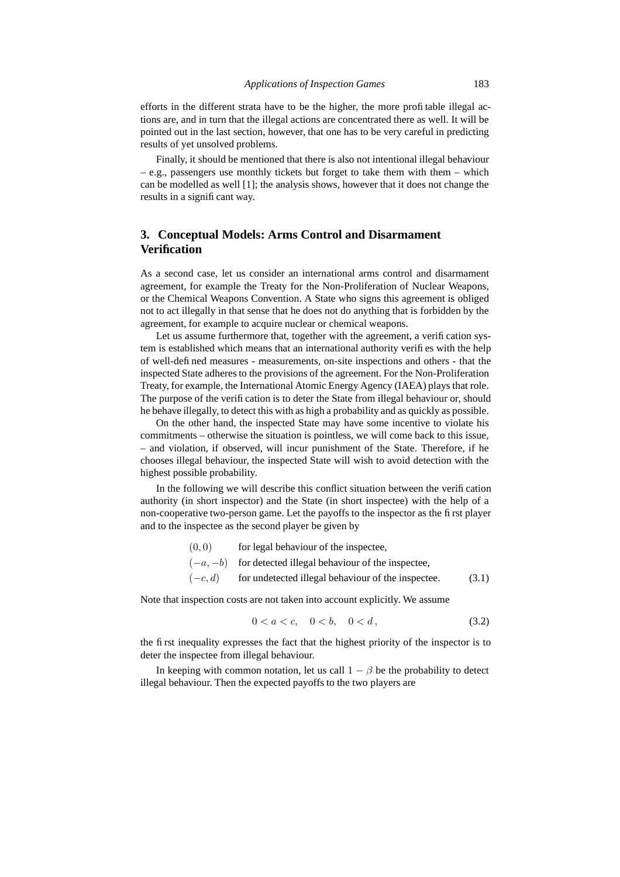efforts in the different strata have to be the higher, the more profitable illegal actions are, and in turn that the illegal actions are concentrated there as well. It will be pointed out in the last section, however, that one has to be very careful in predicting results of yet unsolved problems.

Finally, it should be mentioned that there is also not intentional illegal behaviour  $-$  e.g., passengers use monthly tickets but forget to take them with them  $-$  which can be modelled as well [1]; the analysis shows, however that it does not change the results in a significant way.

# **3. Conceptual Models: Arms Control and Disarmament Verification**

As a second case, let us consider an international arms control and disarmament agreement, for example the Treaty for the Non-Proliferation of Nuclear Weapons, or the Chemical Weapons Convention. A State who signs this agreement is obliged not to act illegally in that sense that he does not do anything that is forbidden by the agreement, for example to acquire nuclear or chemical weapons.

Let us assume furthermore that, together with the agreement, a verification system is established which means that an international authority verifies with the help of well-defined measures - measurements, on-site inspections and others - that the inspected State adheres to the provisions of the agreement. For the Non-Proliferation Treaty, for example, the International Atomic Energy Agency (IAEA) plays that role. The purpose of the verification is to deter the State from illegal behaviour or, should he behave illegally, to detect this with as high a probability and as quickly as possible.

On the other hand, the inspected State may have some incentive to violate his commitments – otherwise the situation is pointless, we will come back to this issue, – and violation, if observed, will incur punishment of the State. Therefore, if he chooses illegal behaviour, the inspected State will wish to avoid detection with the highest possible probability.

In the following we will describe this conflict situation between the verification authority (in short inspector) and the State (in short inspectee) with the help of a non-cooperative two-person game. Let the payoffs to the inspector as the first player and to the inspectee as the second player be given by

- $(0, 0)$  for legal behaviour of the inspectee,
- $(-a, -b)$  for detected illegal behaviour of the inspectee,
- $(-c, d)$  for undetected illegal behaviour of the inspectee. (3.1)

Note that inspection costs are not taken into account explicitly. We assume

$$
0 < a < c, \quad 0 < b, \quad 0 < d \tag{3.2}
$$

the first inequality expresses the fact that the highest priority of the inspector is to deter the inspectee from illegal behaviour.

In keeping with common notation, let us call  $1 - \beta$  be the probability to detect illegal behaviour. Then the expected payoffs to the two players are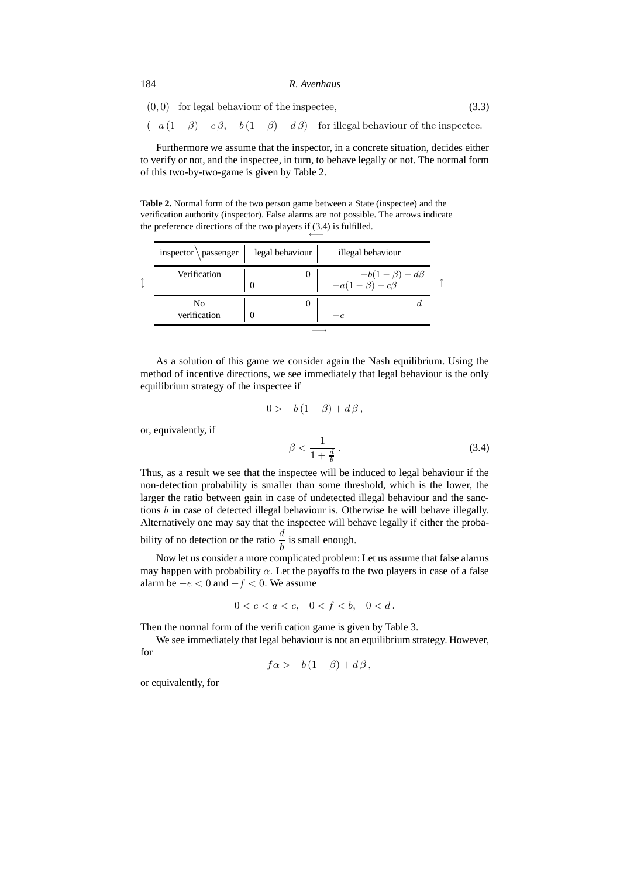$$
(0,0) for legal behaviour of the inspectee,
$$
\n
$$
(3.3)
$$

 $(-a(1 - \beta) - c\beta, -b(1 - \beta) + d\beta)$  for illegal behaviour of the inspectee.

Furthermore we assume that the inspector, in a concrete situation, decides either to verify or not, and the inspectee, in turn, to behave legally or not. The normal form of this two-by-two-game is given by Table 2.

**Table 2.** Normal form of the two person game between a State (inspectee) and the verification authority (inspector). False alarms are not possible. The arrows indicate the preference directions of the two players if (3.4) is fulfilled. ←−

| inspector $\angle$ passenger | legal behaviour | illegal behaviour                                     |  |
|------------------------------|-----------------|-------------------------------------------------------|--|
| Verification                 | 0               | $-b(1-\beta) + d\beta$<br>-a(1- $\beta$ ) - c $\beta$ |  |
| No<br>verification           |                 | $-c$                                                  |  |
|                              |                 |                                                       |  |

As a solution of this game we consider again the Nash equilibrium. Using the method of incentive directions, we see immediately that legal behaviour is the only equilibrium strategy of the inspectee if

$$
0 > -b\left(1 - \beta\right) + d\beta \,,
$$

or, equivalently, if

$$
\beta < \frac{1}{1 + \frac{d}{b}} \,. \tag{3.4}
$$

Thus, as a result we see that the inspectee will be induced to legal behaviour if the non-detection probability is smaller than some threshold, which is the lower, the larger the ratio between gain in case of undetected illegal behaviour and the sanctions b in case of detected illegal behaviour is. Otherwise he will behave illegally. Alternatively one may say that the inspectee will behave legally if either the probability of no detection or the ratio  $\frac{d}{b}$  is small enough.

Now let us consider a more complicated problem: Let us assume that false alarms may happen with probability  $\alpha$ . Let the payoffs to the two players in case of a false alarm be  $-e < 0$  and  $-f < 0$ . We assume

$$
0 < e < a < c, \quad 0 < f < b, \quad 0 < d \, .
$$

Then the normal form of the verification game is given by Table 3.

We see immediately that legal behaviour is not an equilibrium strategy. However, for

$$
-f\alpha > -b(1-\beta) + d\beta,
$$

or equivalently, for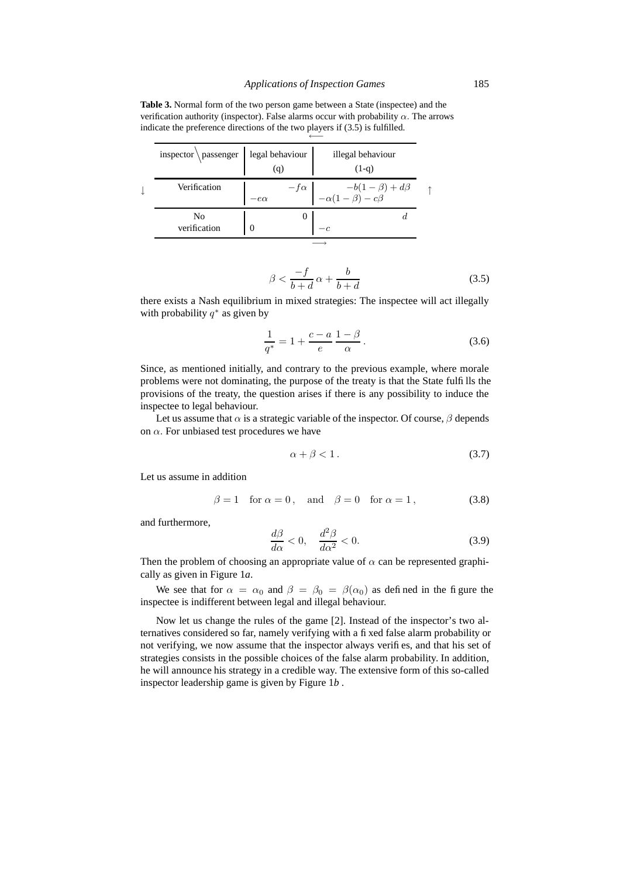**Table 3.** Normal form of the two person game between a State (inspectee) and the verification authority (inspector). False alarms occur with probability  $\alpha$ . The arrows indicate the preference directions of the two players if (3.5) is fulfilled.

| inspector $\begin{cases} \text{legal behaviour} \\ \text{(q)} \end{cases}$ |            | illegal behaviour<br>$(1-q)$                                                |
|----------------------------------------------------------------------------|------------|-----------------------------------------------------------------------------|
| Verification                                                               | $-e\alpha$ | $-e\alpha$ $-f\alpha$ $-b(1-\beta) + d\beta$<br>$-\alpha(1-\beta) - c\beta$ |
| No<br>verification                                                         | $\theta$   |                                                                             |
|                                                                            |            |                                                                             |

$$
\beta < \frac{-f}{b+d} \alpha + \frac{b}{b+d} \tag{3.5}
$$

there exists a Nash equilibrium in mixed strategies: The inspectee will act illegally with probability  $q^*$  as given by

$$
\frac{1}{q^*} = 1 + \frac{c - a}{e} \frac{1 - \beta}{\alpha}.
$$
\n(3.6)

Since, as mentioned initially, and contrary to the previous example, where morale problems were not dominating, the purpose of the treaty is that the State fulfills the provisions of the treaty, the question arises if there is any possibility to induce the inspectee to legal behaviour.

Let us assume that  $\alpha$  is a strategic variable of the inspector. Of course,  $\beta$  depends on  $\alpha$ . For unbiased test procedures we have

$$
\alpha + \beta < 1. \tag{3.7}
$$

Let us assume in addition

$$
\beta = 1 \quad \text{for } \alpha = 0, \quad \text{and} \quad \beta = 0 \quad \text{for } \alpha = 1,
$$
 (3.8)

and furthermore,

$$
\frac{d\beta}{d\alpha} < 0, \quad \frac{d^2\beta}{d\alpha^2} < 0. \tag{3.9}
$$

Then the problem of choosing an appropriate value of  $\alpha$  can be represented graphically as given in Figure 1*a*.

We see that for  $\alpha = \alpha_0$  and  $\beta = \beta_0 = \beta(\alpha_0)$  as defined in the figure the inspectee is indifferent between legal and illegal behaviour.

Now let us change the rules of the game [2]. Instead of the inspector's two alternatives considered so far, namely verifying with a fixed false alarm probability or not verifying, we now assume that the inspector always verifies, and that his set of strategies consists in the possible choices of the false alarm probability. In addition, he will announce his strategy in a credible way. The extensive form of this so-called inspector leadership game is given by Figure 1*b* .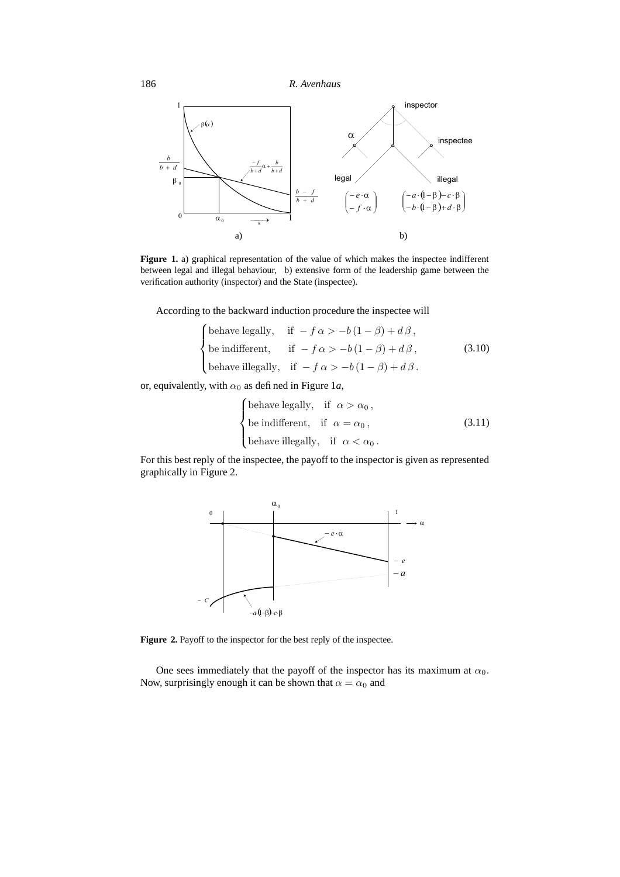

**Figure 1.** a) graphical representation of the value of which makes the inspectee indifferent between legal and illegal behaviour, b) extensive form of the leadership game between the verification authority (inspector) and the State (inspectee).

According to the backward induction procedure the inspectee will

behave legally, if 
$$
-f \alpha > -b(1 - \beta) + d\beta
$$
,  
be indifferent, if  $-f \alpha > -b(1 - \beta) + d\beta$ ,  
behave illegally, if  $-f \alpha > -b(1 - \beta) + d\beta$ .  
(3.10)

or, equivalently, with  $\alpha_0$  as defined in Figure 1a,

behave legally, if 
$$
\alpha > \alpha_0
$$
,  
be indifferent, if  $\alpha = \alpha_0$ , (3.11)  
behave illegally, if  $\alpha < \alpha_0$ .

For this best reply of the inspectee, the payoff to the inspector is given as represented graphically in Figure 2.



**Figure 2.** Payoff to the inspector for the best reply of the inspectee.

One sees immediately that the payoff of the inspector has its maximum at  $\alpha_0$ . Now, surprisingly enough it can be shown that  $\alpha = \alpha_0$  and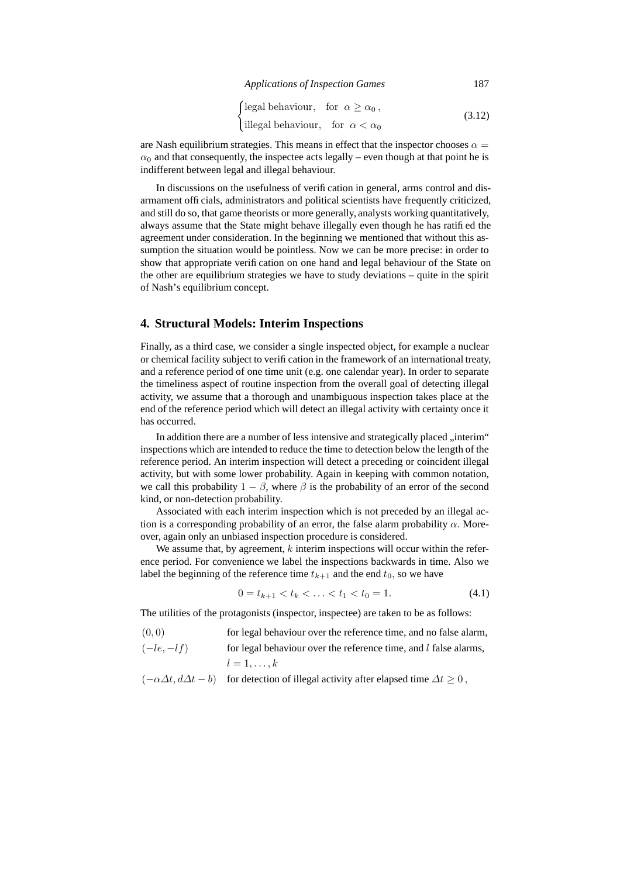*Applications of Inspection Games* 187

$$
\begin{cases}\n\text{legal behaviour,} & \text{for } \alpha \ge \alpha_0, \\
\text{ illegal behaviour,} & \text{for } \alpha < \alpha_0\n\end{cases}\n\tag{3.12}
$$

are Nash equilibrium strategies. This means in effect that the inspector chooses  $\alpha =$  $\alpha_0$  and that consequently, the inspectee acts legally – even though at that point he is indifferent between legal and illegal behaviour.

In discussions on the usefulness of verification in general, arms control and disarmament officials, administrators and political scientists have frequently criticized, and still do so, that game theorists or more generally, analysts working quantitatively, always assume that the State might behave illegally even though he has ratified the agreement under consideration. In the beginning we mentioned that without this assumption the situation would be pointless. Now we can be more precise: in order to show that appropriate verification on one hand and legal behaviour of the State on the other are equilibrium strategies we have to study deviations – quite in the spirit of Nash's equilibrium concept.

### **4. Structural Models: Interim Inspections**

Finally, as a third case, we consider a single inspected object, for example a nuclear or chemical facility subject to verification in the framework of an international treaty, and a reference period of one time unit (e.g. one calendar year). In order to separate the timeliness aspect of routine inspection from the overall goal of detecting illegal activity, we assume that a thorough and unambiguous inspection takes place at the end of the reference period which will detect an illegal activity with certainty once it has occurred.

In addition there are a number of less intensive and strategically placed "interim" inspections which are intended to reduce the time to detection below the length of the reference period. An interim inspection will detect a preceding or coincident illegal activity, but with some lower probability. Again in keeping with common notation, we call this probability  $1 - \beta$ , where  $\beta$  is the probability of an error of the second kind, or non-detection probability.

Associated with each interim inspection which is not preceded by an illegal action is a corresponding probability of an error, the false alarm probability  $\alpha$ . Moreover, again only an unbiased inspection procedure is considered.

We assume that, by agreement,  $k$  interim inspections will occur within the reference period. For convenience we label the inspections backwards in time. Also we label the beginning of the reference time  $t_{k+1}$  and the end  $t_0$ , so we have

$$
0 = t_{k+1} < t_k < \ldots < t_1 < t_0 = 1. \tag{4.1}
$$

The utilities of the protagonists (inspector, inspectee) are taken to be as follows:

| (0, 0)      | for legal behaviour over the reference time, and no false alarm, |
|-------------|------------------------------------------------------------------|
| $(-le,-lf)$ | for legal behaviour over the reference time, and l false alarms, |
|             | $l=1,\ldots,k$                                                   |

$$
(-\alpha \Delta t, d\Delta t - b)
$$
 for detection of illegal activity after elapsed time  $\Delta t \ge 0$ ,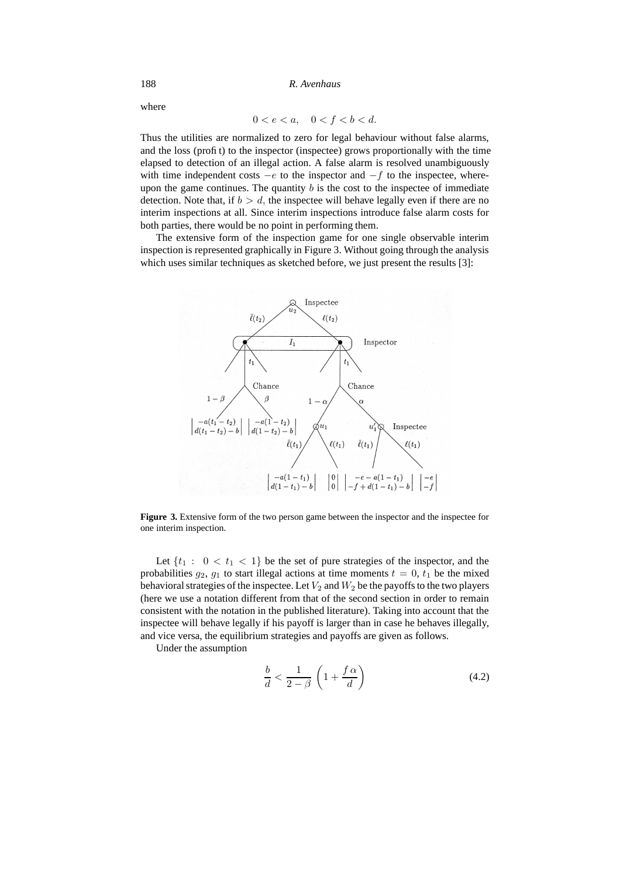where

$$
0 < e < a, \quad 0 < f < b < d.
$$

Thus the utilities are normalized to zero for legal behaviour without false alarms, and the loss (profit) to the inspector (inspectee) grows proportionally with the time elapsed to detection of an illegal action. A false alarm is resolved unambiguously with time independent costs  $-e$  to the inspector and  $-f$  to the inspectee, whereupon the game continues. The quantity  $b$  is the cost to the inspectee of immediate detection. Note that, if  $b > d$ , the inspectee will behave legally even if there are no interim inspections at all. Since interim inspections introduce false alarm costs for both parties, there would be no point in performing them.

The extensive form of the inspection game for one single observable interim inspection is represented graphically in Figure 3. Without going through the analysis which uses similar techniques as sketched before, we just present the results [3]:



**Figure 3.** Extensive form of the two person game between the inspector and the inspectee for one interim inspection.

Let  $\{t_1 : 0 < t_1 < 1\}$  be the set of pure strategies of the inspector, and the probabilities  $g_2$ ,  $g_1$  to start illegal actions at time moments  $t = 0$ ,  $t_1$  be the mixed behavioral strategies of the inspectee. Let  $V_2$  and  $W_2$  be the payoffs to the two players (here we use a notation different from that of the second section in order to remain consistent with the notation in the published literature). Taking into account that the inspectee will behave legally if his payoff is larger than in case he behaves illegally, and vice versa, the equilibrium strategies and payoffs are given as follows.

Under the assumption

$$
\frac{b}{d} < \frac{1}{2 - \beta} \left( 1 + \frac{f \alpha}{d} \right) \tag{4.2}
$$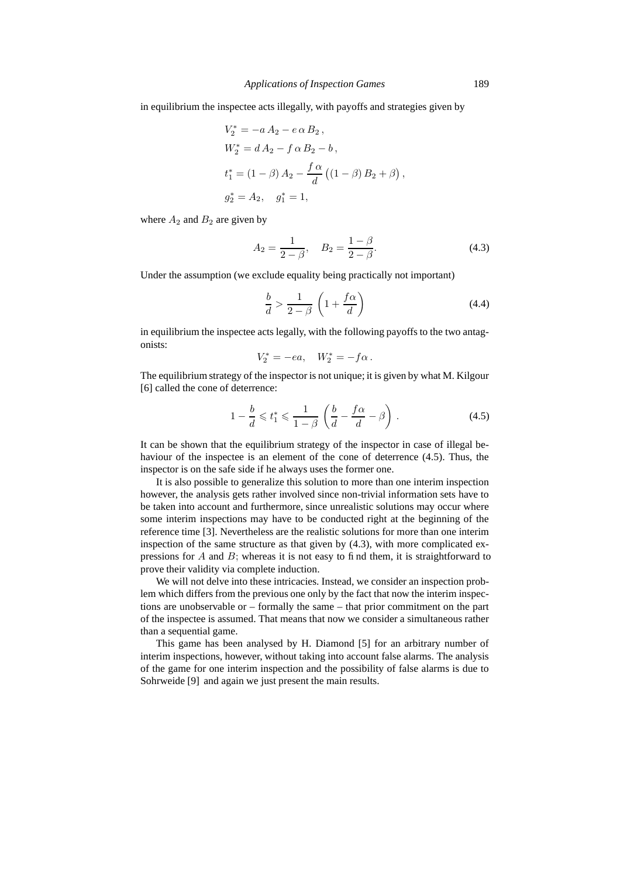in equilibrium the inspectee acts illegally, with payoffs and strategies given by

$$
V_2^* = -a A_2 - e \alpha B_2,
$$
  
\n
$$
W_2^* = d A_2 - f \alpha B_2 - b,
$$
  
\n
$$
t_1^* = (1 - \beta) A_2 - \frac{f \alpha}{d} ((1 - \beta) B_2 + \beta),
$$
  
\n
$$
g_2^* = A_2, \quad g_1^* = 1,
$$

where  $A_2$  and  $B_2$  are given by

$$
A_2 = \frac{1}{2 - \beta}, \quad B_2 = \frac{1 - \beta}{2 - \beta}.
$$
\n(4.3)

Under the assumption (we exclude equality being practically not important)

$$
\frac{b}{d} > \frac{1}{2 - \beta} \left( 1 + \frac{f\alpha}{d} \right) \tag{4.4}
$$

in equilibrium the inspectee acts legally, with the following payoffs to the two antagonists:

$$
V_2^* = -ea, \quad W_2^* = -f\alpha \, .
$$

The equilibrium strategy of the inspector is not unique; it is given by what M. Kilgour [6] called the cone of deterrence:

$$
1 - \frac{b}{d} \leqslant t_1^* \leqslant \frac{1}{1 - \beta} \left( \frac{b}{d} - \frac{f\alpha}{d} - \beta \right). \tag{4.5}
$$

It can be shown that the equilibrium strategy of the inspector in case of illegal behaviour of the inspectee is an element of the cone of deterrence (4.5). Thus, the inspector is on the safe side if he always uses the former one.

It is also possible to generalize this solution to more than one interim inspection however, the analysis gets rather involved since non-trivial information sets have to be taken into account and furthermore, since unrealistic solutions may occur where some interim inspections may have to be conducted right at the beginning of the reference time [3]. Nevertheless are the realistic solutions for more than one interim inspection of the same structure as that given by (4.3), with more complicated expressions for  $A$  and  $B$ ; whereas it is not easy to find them, it is straightforward to prove their validity via complete induction.

We will not delve into these intricacies. Instead, we consider an inspection problem which differs from the previous one only by the fact that now the interim inspections are unobservable or – formally the same – that prior commitment on the part of the inspectee is assumed. That means that now we consider a simultaneous rather than a sequential game.

This game has been analysed by H. Diamond [5] for an arbitrary number of interim inspections, however, without taking into account false alarms. The analysis of the game for one interim inspection and the possibility of false alarms is due to Sohrweide [9] and again we just present the main results.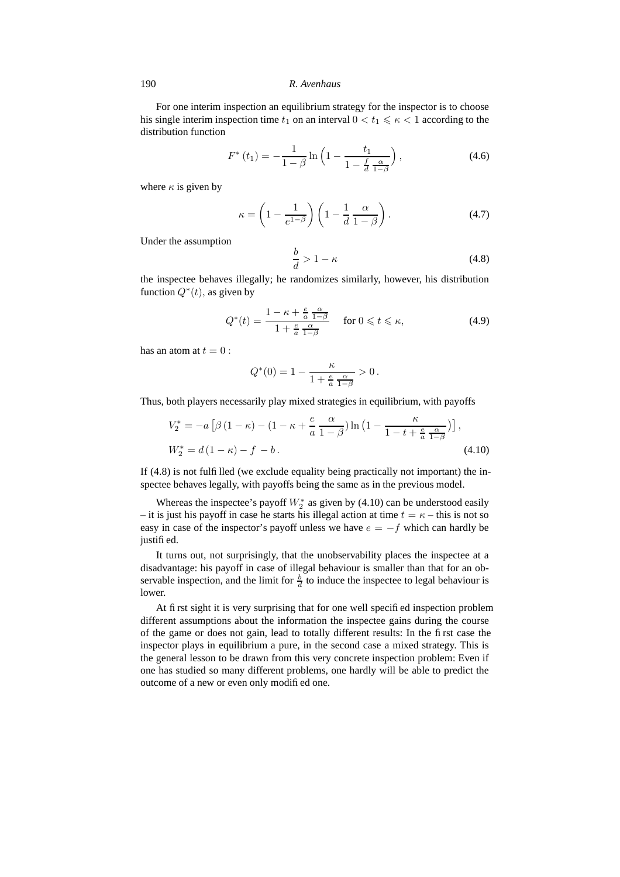For one interim inspection an equilibrium strategy for the inspector is to choose his single interim inspection time  $t_1$  on an interval  $0 < t_1 \leq \kappa < 1$  according to the distribution function

$$
F^*(t_1) = -\frac{1}{1-\beta} \ln \left( 1 - \frac{t_1}{1 - \frac{f}{d} \frac{\alpha}{1-\beta}} \right),\tag{4.6}
$$

where  $\kappa$  is given by

$$
\kappa = \left(1 - \frac{1}{e^{1-\beta}}\right) \left(1 - \frac{1}{d} \frac{\alpha}{1-\beta}\right). \tag{4.7}
$$

Under the assumption

$$
\frac{b}{d} > 1 - \kappa \tag{4.8}
$$

the inspectee behaves illegally; he randomizes similarly, however, his distribution function  $Q^*(t)$ , as given by

$$
Q^*(t) = \frac{1 - \kappa + \frac{e}{a} \frac{\alpha}{1 - \beta}}{1 + \frac{e}{a} \frac{\alpha}{1 - \beta}} \quad \text{for } 0 \leq t \leq \kappa,
$$
 (4.9)

has an atom at  $t = 0$ :

$$
Q^*(0)=1-\frac{\kappa}{1+\frac{e}{a}\,\frac{\alpha}{1-\beta}}>0\,.
$$

Thus, both players necessarily play mixed strategies in equilibrium, with payoffs

$$
V_2^* = -a\left[\beta\left(1-\kappa\right) - \left(1-\kappa + \frac{e}{a}\frac{\alpha}{1-\beta}\right)\ln\left(1 - \frac{\kappa}{1-t + \frac{e}{a}\frac{\alpha}{1-\beta}}\right)\right],
$$
  

$$
W_2^* = d\left(1-\kappa\right) - f - b.
$$
 (4.10)

If (4.8) is not fulfilled (we exclude equality being practically not important) the inspectee behaves legally, with payoffs being the same as in the previous model.

Whereas the inspectee's payoff  $W_2^*$  as given by (4.10) can be understood easily – it is just his payoff in case he starts his illegal action at time  $t = \kappa$  – this is not so easy in case of the inspector's payoff unless we have  $e = -f$  which can hardly be justified.

It turns out, not surprisingly, that the unobservability places the inspectee at a disadvantage: his payoff in case of illegal behaviour is smaller than that for an observable inspection, and the limit for  $\frac{b}{d}$  to induce the inspectee to legal behaviour is lower.

At first sight it is very surprising that for one well specified inspection problem different assumptions about the information the inspectee gains during the course of the game or does not gain, lead to totally different results: In the first case the inspector plays in equilibrium a pure, in the second case a mixed strategy. This is the general lesson to be drawn from this very concrete inspection problem: Even if one has studied so many different problems, one hardly will be able to predict the outcome of a new or even only modified one.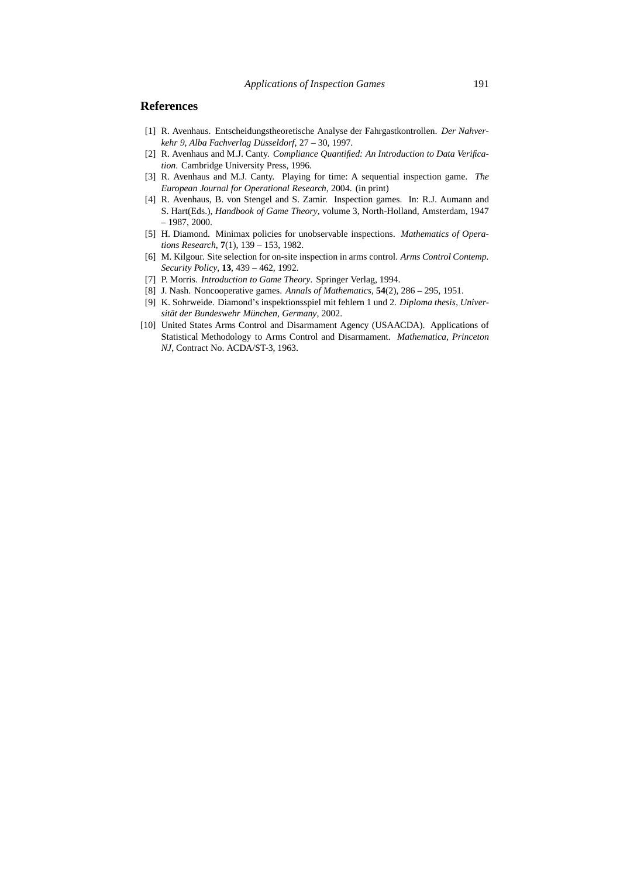## **References**

- [1] R. Avenhaus. Entscheidungstheoretische Analyse der Fahrgastkontrollen. *Der Nahverkehr 9, Alba Fachverlag Düsseldorf*, 27 – 30, 1997.
- [2] R. Avenhaus and M.J. Canty. *Compliance Quantified: An Introduction to Data Verification*. Cambridge University Press, 1996.
- [3] R. Avenhaus and M.J. Canty. Playing for time: A sequential inspection game. *The European Journal for Operational Research*, 2004. (in print)
- [4] R. Avenhaus, B. von Stengel and S. Zamir. Inspection games. In: R.J. Aumann and S. Hart(Eds.), *Handbook of Game Theory*, volume 3, North-Holland, Amsterdam, 1947 – 1987, 2000.
- [5] H. Diamond. Minimax policies for unobservable inspections. *Mathematics of Operations Research*, **7**(1), 139 – 153, 1982.
- [6] M. Kilgour. Site selection for on-site inspection in arms control. *Arms Control Contemp. Security Policy*, **13**, 439 – 462, 1992.
- [7] P. Morris. *Introduction to Game Theory*. Springer Verlag, 1994.
- [8] J. Nash. Noncooperative games. *Annals of Mathematics*, **54**(2), 286 295, 1951.
- [9] K. Sohrweide. Diamond's inspektionsspiel mit fehlern 1 und 2. *Diploma thesis, Universität der Bundeswehr München, Germany*, 2002.
- [10] United States Arms Control and Disarmament Agency (USAACDA). Applications of Statistical Methodology to Arms Control and Disarmament. *Mathematica, Princeton NJ*, Contract No. ACDA/ST-3, 1963.